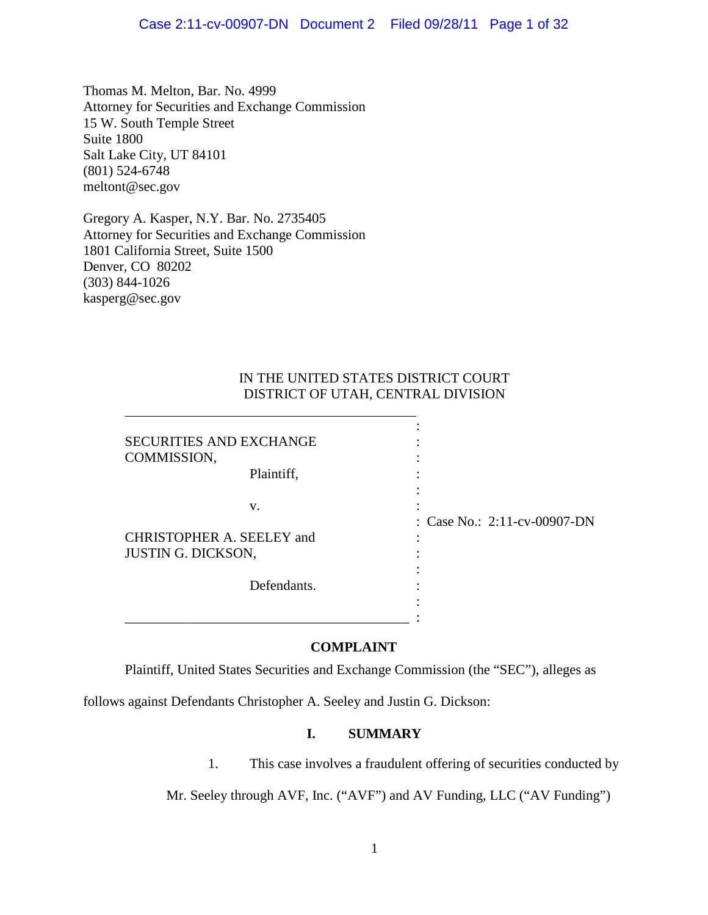Thomas M. Melton, Bar. No. 4999 Attorney for Securities and Exchange Commission 15 W. South Temple Street Suite 1800 Salt Lake City, UT 84101 (801) 524-6748 meltont@sec.gov

Gregory A. Kasper, N.Y. Bar. No. 2735405 Attorney for Securities and Exchange Commission 1801 California Street, Suite 1500 Denver, CO 80202 (303) 844-1026 kasperg@sec.gov

## IN THE UNITED STATES DISTRICT COURT DISTRICT OF UTAH, CENTRAL DIVISION

:

:

:

:

SECURITIES AND EXCHANGE : COMMISSION, :

Plaintiff,

 $\mathbf{v}$ .  $\vdots$ 

CHRISTOPHER A. SEELEY and : JUSTIN G. DICKSON,

Defendants. :

\_\_\_\_\_\_\_\_\_\_\_\_\_\_\_\_\_\_\_\_\_\_\_\_\_\_\_\_\_\_\_\_\_\_\_\_\_\_\_\_\_ :

: Case No.: 2:11-cv-00907-DN

**COMPLAINT**

Plaintiff, United States Securities and Exchange Commission (the "SEC"), alleges as

follows against Defendants Christopher A. Seeley and Justin G. Dickson:

## **I. SUMMARY**

1. This case involves a fraudulent offering of securities conducted by

Mr. Seeley through AVF, Inc. ("AVF") and AV Funding, LLC ("AV Funding")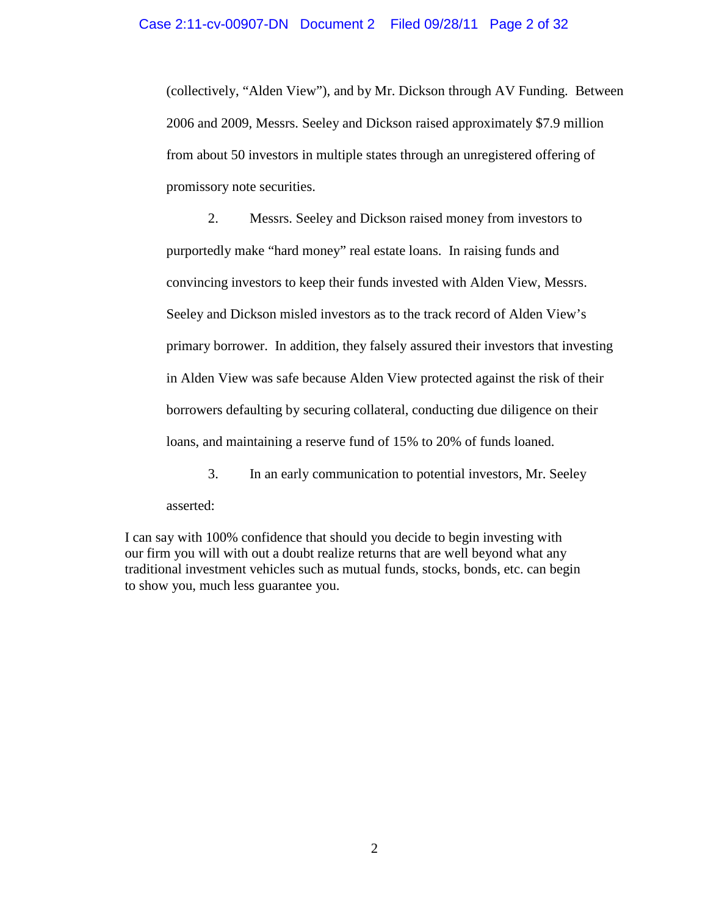(collectively, "Alden View"), and by Mr. Dickson through AV Funding. Between 2006 and 2009, Messrs. Seeley and Dickson raised approximately \$7.9 million from about 50 investors in multiple states through an unregistered offering of promissory note securities.

2. Messrs. Seeley and Dickson raised money from investors to purportedly make "hard money" real estate loans. In raising funds and convincing investors to keep their funds invested with Alden View, Messrs. Seeley and Dickson misled investors as to the track record of Alden View's primary borrower. In addition, they falsely assured their investors that investing in Alden View was safe because Alden View protected against the risk of their borrowers defaulting by securing collateral, conducting due diligence on their loans, and maintaining a reserve fund of 15% to 20% of funds loaned.

3. In an early communication to potential investors, Mr. Seeley asserted:

I can say with 100% confidence that should you decide to begin investing with our firm you will with out a doubt realize returns that are well beyond what any traditional investment vehicles such as mutual funds, stocks, bonds, etc. can begin to show you, much less guarantee you.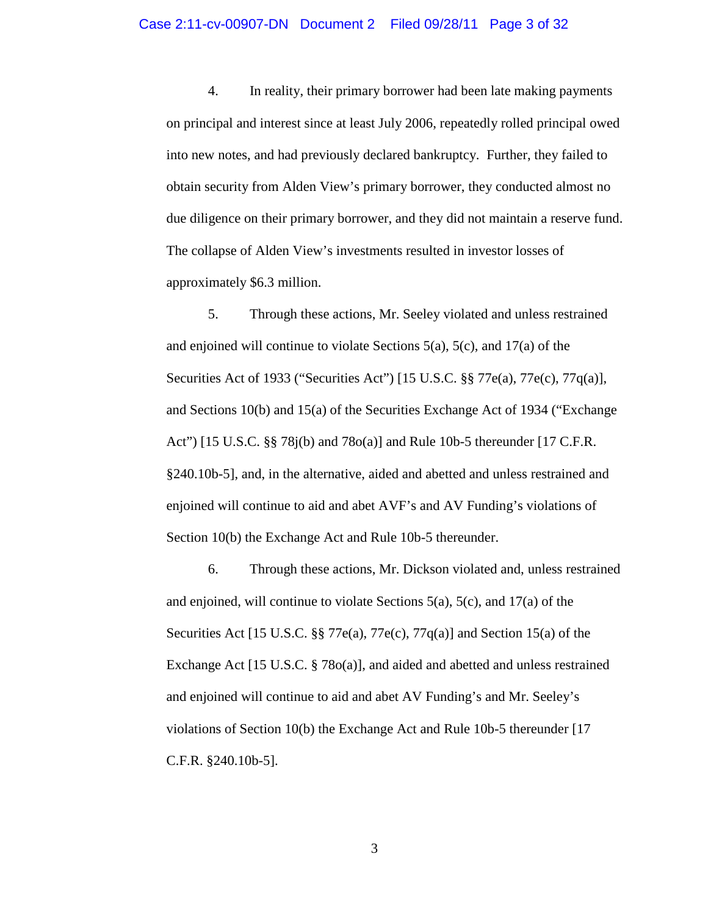4. In reality, their primary borrower had been late making payments on principal and interest since at least July 2006, repeatedly rolled principal owed into new notes, and had previously declared bankruptcy. Further, they failed to obtain security from Alden View's primary borrower, they conducted almost no due diligence on their primary borrower, and they did not maintain a reserve fund. The collapse of Alden View's investments resulted in investor losses of approximately \$6.3 million.

5. Through these actions, Mr. Seeley violated and unless restrained and enjoined will continue to violate Sections  $5(a)$ ,  $5(c)$ , and  $17(a)$  of the Securities Act of 1933 ("Securities Act") [15 U.S.C. §§ 77e(a), 77e(c), 77q(a)], and Sections 10(b) and 15(a) of the Securities Exchange Act of 1934 ("Exchange Act") [15 U.S.C. §§ 78j(b) and 78o(a)] and Rule 10b-5 thereunder [17 C.F.R. §240.10b-5], and, in the alternative, aided and abetted and unless restrained and enjoined will continue to aid and abet AVF's and AV Funding's violations of Section 10(b) the Exchange Act and Rule 10b-5 thereunder.

6. Through these actions, Mr. Dickson violated and, unless restrained and enjoined, will continue to violate Sections  $5(a)$ ,  $5(c)$ , and  $17(a)$  of the Securities Act [15 U.S.C. §§ 77e(a), 77e(c), 77q(a)] and Section 15(a) of the Exchange Act [15 U.S.C. § 78o(a)], and aided and abetted and unless restrained and enjoined will continue to aid and abet AV Funding's and Mr. Seeley's violations of Section 10(b) the Exchange Act and Rule 10b-5 thereunder [17 C.F.R. §240.10b-5].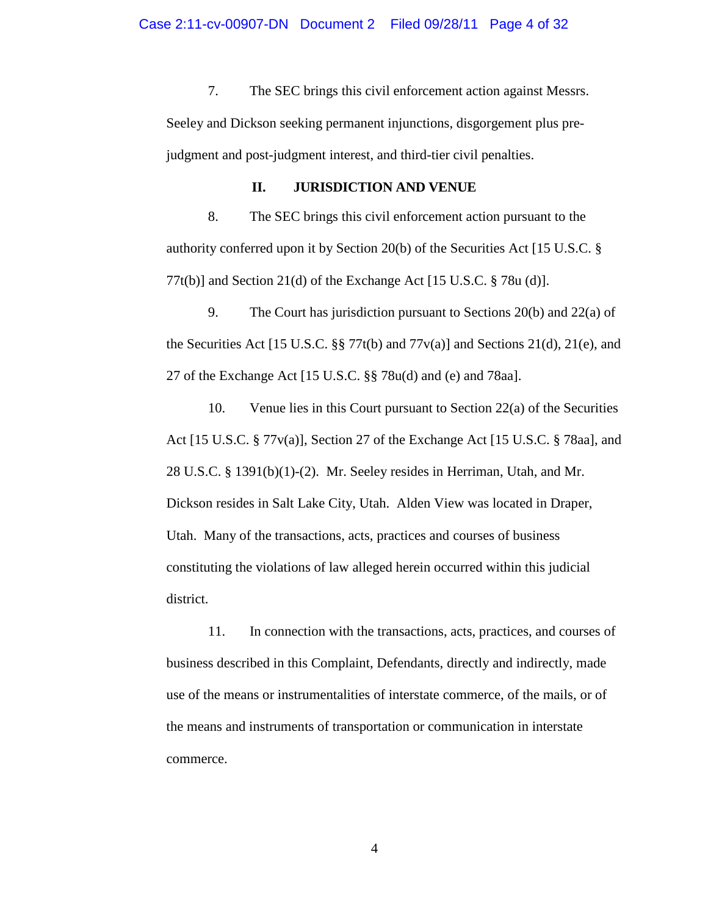7. The SEC brings this civil enforcement action against Messrs. Seeley and Dickson seeking permanent injunctions, disgorgement plus prejudgment and post-judgment interest, and third-tier civil penalties.

## **II. JURISDICTION AND VENUE**

8. The SEC brings this civil enforcement action pursuant to the authority conferred upon it by Section 20(b) of the Securities Act [15 U.S.C. § 77t(b)] and Section 21(d) of the Exchange Act [15 U.S.C. § 78u (d)].

9. The Court has jurisdiction pursuant to Sections 20(b) and 22(a) of the Securities Act [15 U.S.C. §§ 77t(b) and 77 $v(a)$ ] and Sections 21(d), 21(e), and 27 of the Exchange Act [15 U.S.C. §§ 78u(d) and (e) and 78aa].

10. Venue lies in this Court pursuant to Section 22(a) of the Securities Act [15 U.S.C. § 77v(a)], Section 27 of the Exchange Act [15 U.S.C. § 78aa], and 28 U.S.C. § 1391(b)(1)-(2). Mr. Seeley resides in Herriman, Utah, and Mr. Dickson resides in Salt Lake City, Utah. Alden View was located in Draper, Utah. Many of the transactions, acts, practices and courses of business constituting the violations of law alleged herein occurred within this judicial district.

11. In connection with the transactions, acts, practices, and courses of business described in this Complaint, Defendants, directly and indirectly, made use of the means or instrumentalities of interstate commerce, of the mails, or of the means and instruments of transportation or communication in interstate commerce.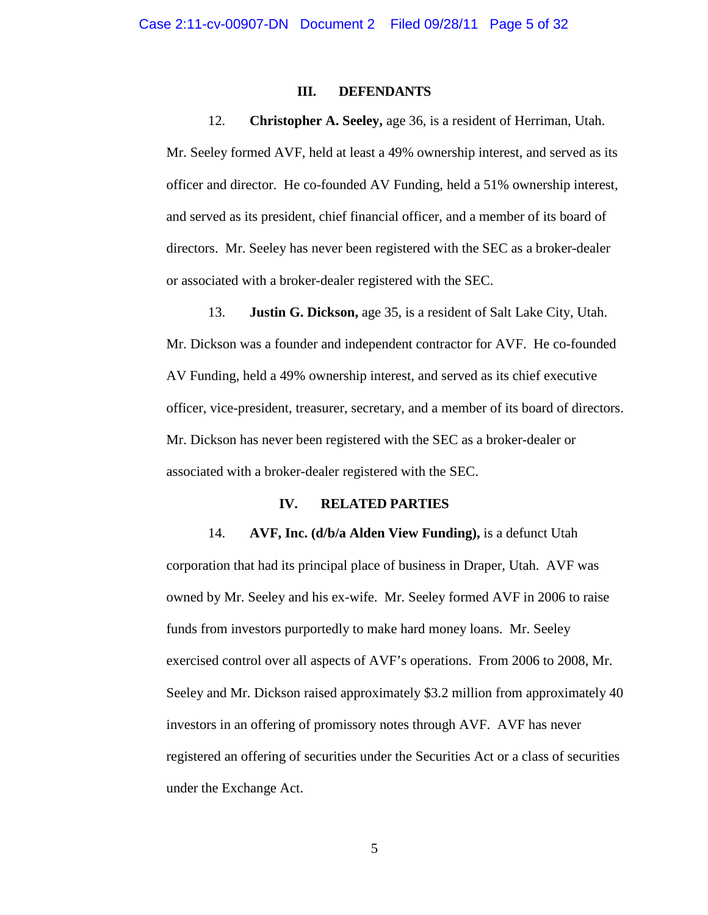## **III. DEFENDANTS**

12. **Christopher A. Seeley,** age 36, is a resident of Herriman, Utah.

Mr. Seeley formed AVF, held at least a 49% ownership interest, and served as its officer and director. He co-founded AV Funding, held a 51% ownership interest, and served as its president, chief financial officer, and a member of its board of directors. Mr. Seeley has never been registered with the SEC as a broker-dealer or associated with a broker-dealer registered with the SEC.

13. **Justin G. Dickson,** age 35, is a resident of Salt Lake City, Utah. Mr. Dickson was a founder and independent contractor for AVF. He co-founded AV Funding, held a 49% ownership interest, and served as its chief executive officer, vice-president, treasurer, secretary, and a member of its board of directors. Mr. Dickson has never been registered with the SEC as a broker-dealer or associated with a broker-dealer registered with the SEC.

### **IV. RELATED PARTIES**

14. **AVF, Inc. (d/b/a Alden View Funding),** is a defunct Utah corporation that had its principal place of business in Draper, Utah. AVF was owned by Mr. Seeley and his ex-wife. Mr. Seeley formed AVF in 2006 to raise funds from investors purportedly to make hard money loans. Mr. Seeley exercised control over all aspects of AVF's operations. From 2006 to 2008, Mr. Seeley and Mr. Dickson raised approximately \$3.2 million from approximately 40 investors in an offering of promissory notes through AVF. AVF has never registered an offering of securities under the Securities Act or a class of securities under the Exchange Act.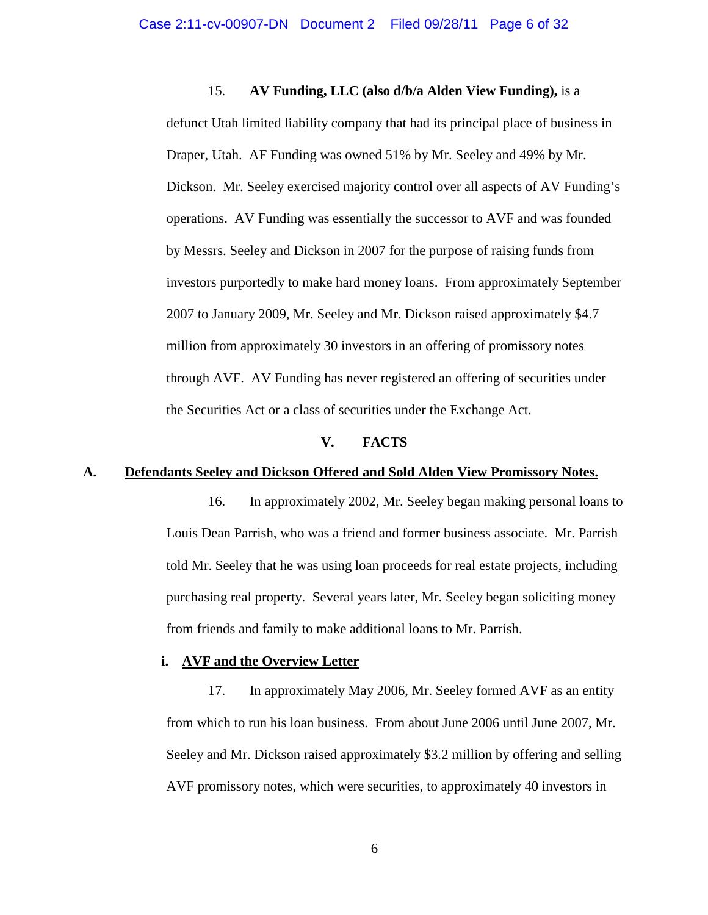15. **AV Funding, LLC (also d/b/a Alden View Funding),** is a defunct Utah limited liability company that had its principal place of business in Draper, Utah. AF Funding was owned 51% by Mr. Seeley and 49% by Mr. Dickson. Mr. Seeley exercised majority control over all aspects of AV Funding's operations. AV Funding was essentially the successor to AVF and was founded by Messrs. Seeley and Dickson in 2007 for the purpose of raising funds from investors purportedly to make hard money loans. From approximately September 2007 to January 2009, Mr. Seeley and Mr. Dickson raised approximately \$4.7 million from approximately 30 investors in an offering of promissory notes through AVF. AV Funding has never registered an offering of securities under the Securities Act or a class of securities under the Exchange Act.

#### **V. FACTS**

#### **A. Defendants Seeley and Dickson Offered and Sold Alden View Promissory Notes.**

16. In approximately 2002, Mr. Seeley began making personal loans to Louis Dean Parrish, who was a friend and former business associate. Mr. Parrish told Mr. Seeley that he was using loan proceeds for real estate projects, including purchasing real property. Several years later, Mr. Seeley began soliciting money from friends and family to make additional loans to Mr. Parrish.

### **i. AVF and the Overview Letter**

17. In approximately May 2006, Mr. Seeley formed AVF as an entity from which to run his loan business. From about June 2006 until June 2007, Mr. Seeley and Mr. Dickson raised approximately \$3.2 million by offering and selling AVF promissory notes, which were securities, to approximately 40 investors in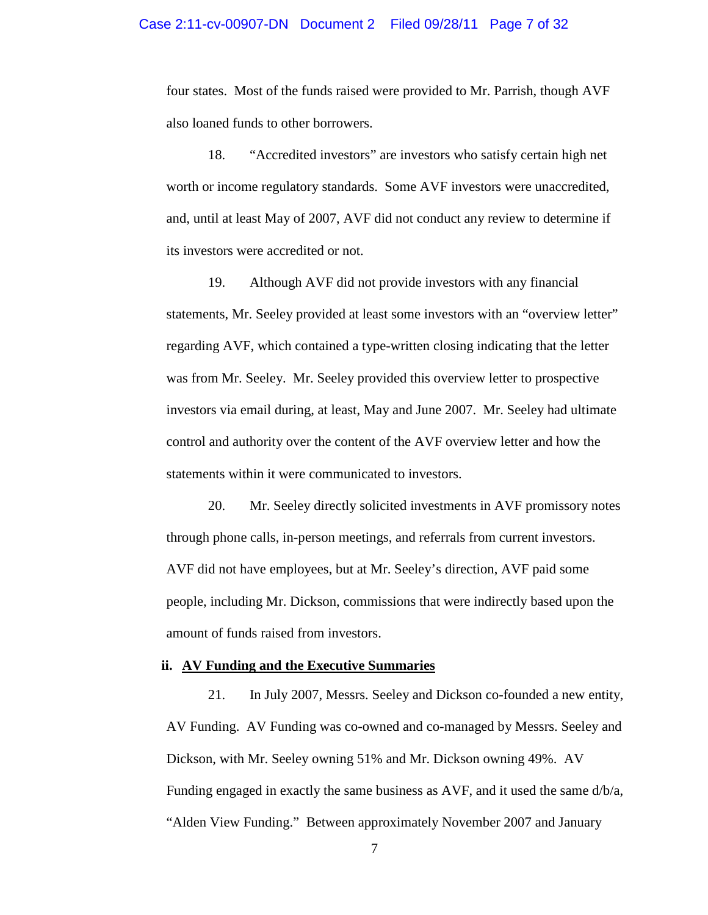#### Case 2:11-cv-00907-DN Document 2 Filed 09/28/11 Page 7 of 32

four states. Most of the funds raised were provided to Mr. Parrish, though AVF also loaned funds to other borrowers.

18. "Accredited investors" are investors who satisfy certain high net worth or income regulatory standards. Some AVF investors were unaccredited, and, until at least May of 2007, AVF did not conduct any review to determine if its investors were accredited or not.

19. Although AVF did not provide investors with any financial statements, Mr. Seeley provided at least some investors with an "overview letter" regarding AVF, which contained a type-written closing indicating that the letter was from Mr. Seeley. Mr. Seeley provided this overview letter to prospective investors via email during, at least, May and June 2007. Mr. Seeley had ultimate control and authority over the content of the AVF overview letter and how the statements within it were communicated to investors.

20. Mr. Seeley directly solicited investments in AVF promissory notes through phone calls, in-person meetings, and referrals from current investors. AVF did not have employees, but at Mr. Seeley's direction, AVF paid some people, including Mr. Dickson, commissions that were indirectly based upon the amount of funds raised from investors.

### **ii. AV Funding and the Executive Summaries**

21. In July 2007, Messrs. Seeley and Dickson co-founded a new entity, AV Funding. AV Funding was co-owned and co-managed by Messrs. Seeley and Dickson, with Mr. Seeley owning 51% and Mr. Dickson owning 49%. AV Funding engaged in exactly the same business as AVF, and it used the same d/b/a, "Alden View Funding." Between approximately November 2007 and January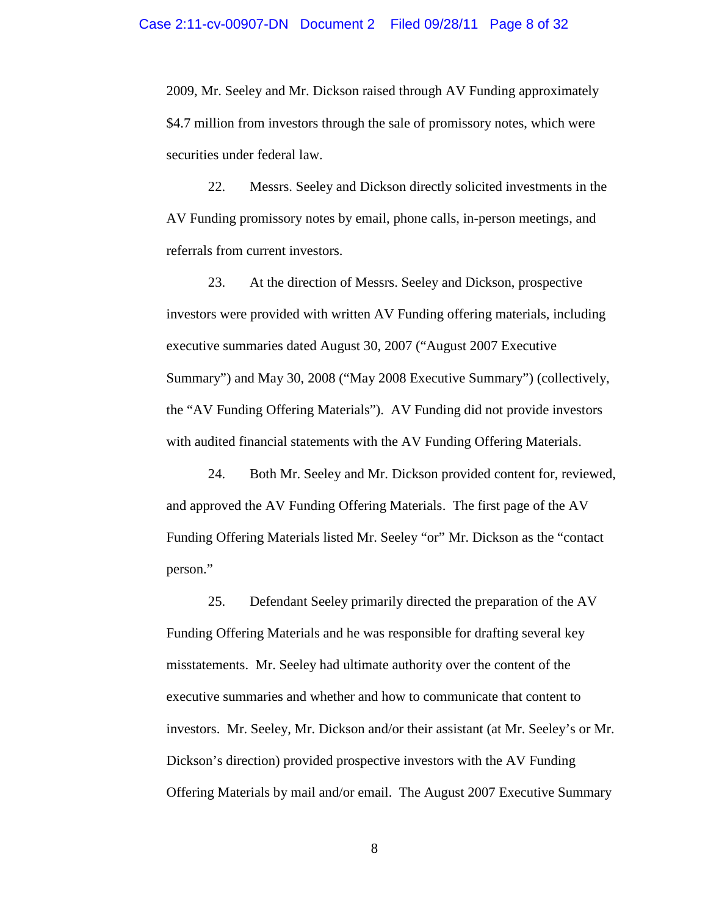2009, Mr. Seeley and Mr. Dickson raised through AV Funding approximately \$4.7 million from investors through the sale of promissory notes, which were securities under federal law.

22. Messrs. Seeley and Dickson directly solicited investments in the AV Funding promissory notes by email, phone calls, in-person meetings, and referrals from current investors.

23. At the direction of Messrs. Seeley and Dickson, prospective investors were provided with written AV Funding offering materials, including executive summaries dated August 30, 2007 ("August 2007 Executive Summary") and May 30, 2008 ("May 2008 Executive Summary") (collectively, the "AV Funding Offering Materials"). AV Funding did not provide investors with audited financial statements with the AV Funding Offering Materials.

24. Both Mr. Seeley and Mr. Dickson provided content for, reviewed, and approved the AV Funding Offering Materials. The first page of the AV Funding Offering Materials listed Mr. Seeley "or" Mr. Dickson as the "contact person."

25. Defendant Seeley primarily directed the preparation of the AV Funding Offering Materials and he was responsible for drafting several key misstatements. Mr. Seeley had ultimate authority over the content of the executive summaries and whether and how to communicate that content to investors. Mr. Seeley, Mr. Dickson and/or their assistant (at Mr. Seeley's or Mr. Dickson's direction) provided prospective investors with the AV Funding Offering Materials by mail and/or email. The August 2007 Executive Summary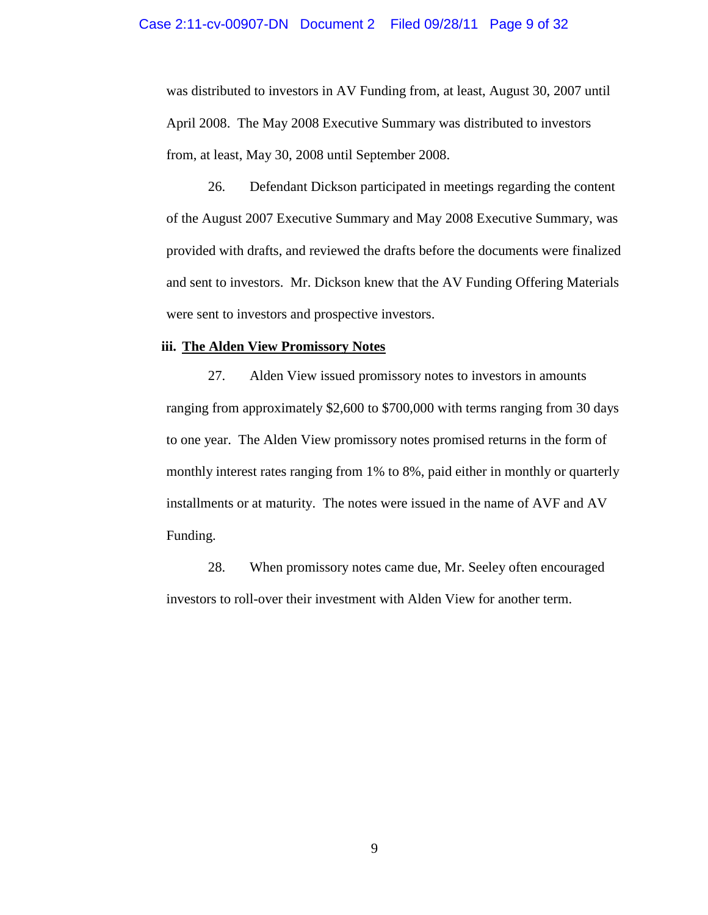was distributed to investors in AV Funding from, at least, August 30, 2007 until April 2008. The May 2008 Executive Summary was distributed to investors from, at least, May 30, 2008 until September 2008.

26. Defendant Dickson participated in meetings regarding the content of the August 2007 Executive Summary and May 2008 Executive Summary, was provided with drafts, and reviewed the drafts before the documents were finalized and sent to investors. Mr. Dickson knew that the AV Funding Offering Materials were sent to investors and prospective investors.

### **iii. The Alden View Promissory Notes**

27. Alden View issued promissory notes to investors in amounts ranging from approximately \$2,600 to \$700,000 with terms ranging from 30 days to one year. The Alden View promissory notes promised returns in the form of monthly interest rates ranging from 1% to 8%, paid either in monthly or quarterly installments or at maturity. The notes were issued in the name of AVF and AV Funding.

28. When promissory notes came due, Mr. Seeley often encouraged investors to roll-over their investment with Alden View for another term.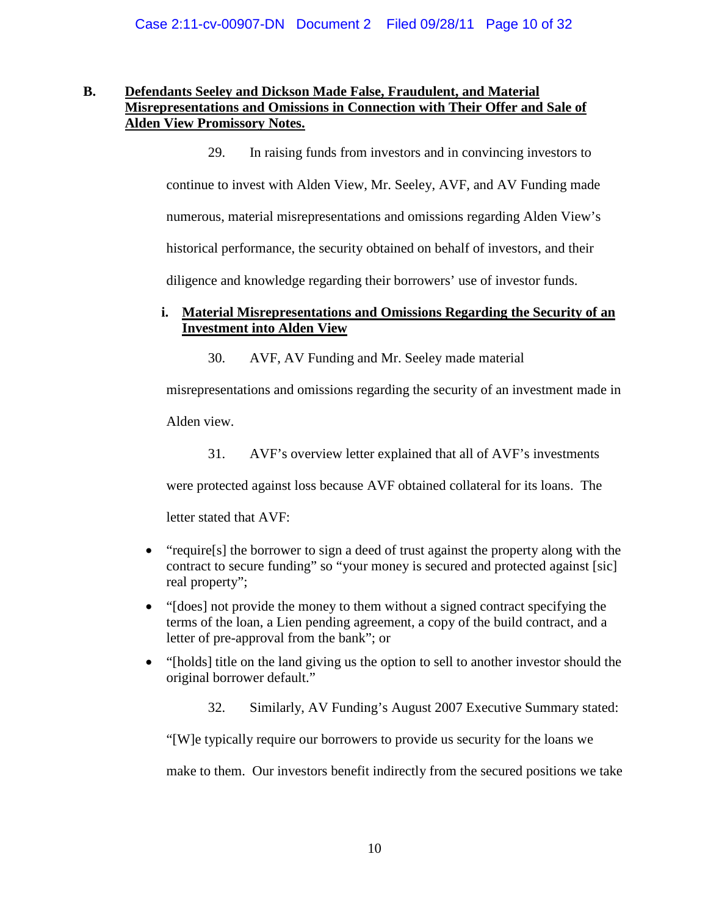#### **B. Defendants Seeley and Dickson Made False, Fraudulent, and Material Misrepresentations and Omissions in Connection with Their Offer and Sale of Alden View Promissory Notes.**

29. In raising funds from investors and in convincing investors to continue to invest with Alden View, Mr. Seeley, AVF, and AV Funding made numerous, material misrepresentations and omissions regarding Alden View's historical performance, the security obtained on behalf of investors, and their diligence and knowledge regarding their borrowers' use of investor funds.

# **i. Material Misrepresentations and Omissions Regarding the Security of an Investment into Alden View**

30. AVF, AV Funding and Mr. Seeley made material

misrepresentations and omissions regarding the security of an investment made in

Alden view.

31. AVF's overview letter explained that all of AVF's investments

were protected against loss because AVF obtained collateral for its loans. The

letter stated that AVF:

- "require[s] the borrower to sign a deed of trust against the property along with the contract to secure funding" so "your money is secured and protected against [sic] real property";
- "[does] not provide the money to them without a signed contract specifying the terms of the loan, a Lien pending agreement, a copy of the build contract, and a letter of pre-approval from the bank"; or
- "[holds] title on the land giving us the option to sell to another investor should the original borrower default."
	- 32. Similarly, AV Funding's August 2007 Executive Summary stated:

"[W]e typically require our borrowers to provide us security for the loans we

make to them. Our investors benefit indirectly from the secured positions we take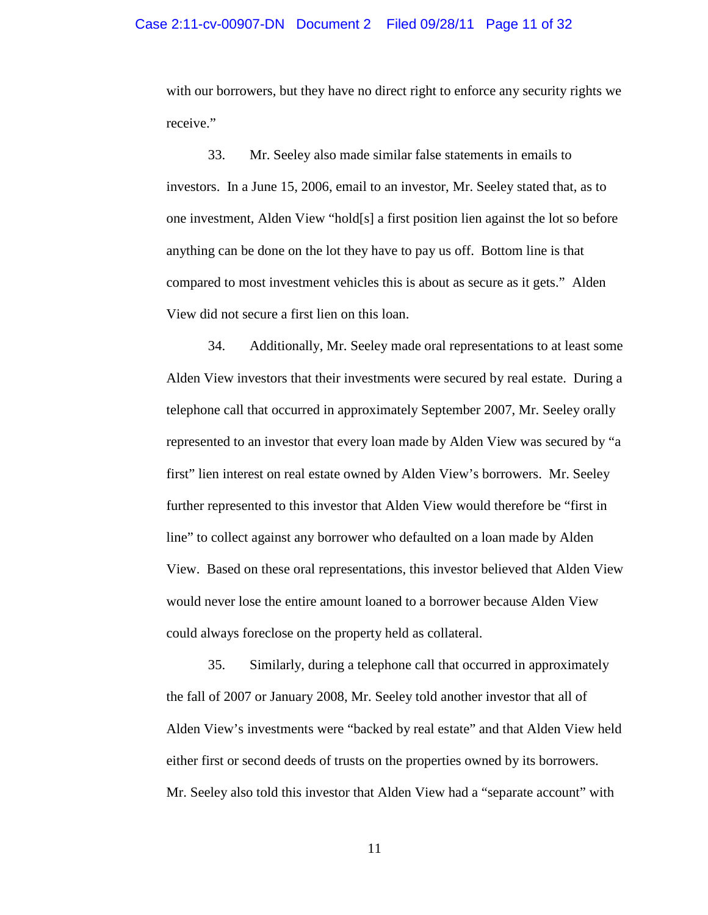#### Case 2:11-cv-00907-DN Document 2 Filed 09/28/11 Page 11 of 32

with our borrowers, but they have no direct right to enforce any security rights we receive."

33. Mr. Seeley also made similar false statements in emails to investors. In a June 15, 2006, email to an investor, Mr. Seeley stated that, as to one investment, Alden View "hold[s] a first position lien against the lot so before anything can be done on the lot they have to pay us off. Bottom line is that compared to most investment vehicles this is about as secure as it gets." Alden View did not secure a first lien on this loan.

34. Additionally, Mr. Seeley made oral representations to at least some Alden View investors that their investments were secured by real estate. During a telephone call that occurred in approximately September 2007, Mr. Seeley orally represented to an investor that every loan made by Alden View was secured by "a first" lien interest on real estate owned by Alden View's borrowers. Mr. Seeley further represented to this investor that Alden View would therefore be "first in line" to collect against any borrower who defaulted on a loan made by Alden View. Based on these oral representations, this investor believed that Alden View would never lose the entire amount loaned to a borrower because Alden View could always foreclose on the property held as collateral.

35. Similarly, during a telephone call that occurred in approximately the fall of 2007 or January 2008, Mr. Seeley told another investor that all of Alden View's investments were "backed by real estate" and that Alden View held either first or second deeds of trusts on the properties owned by its borrowers. Mr. Seeley also told this investor that Alden View had a "separate account" with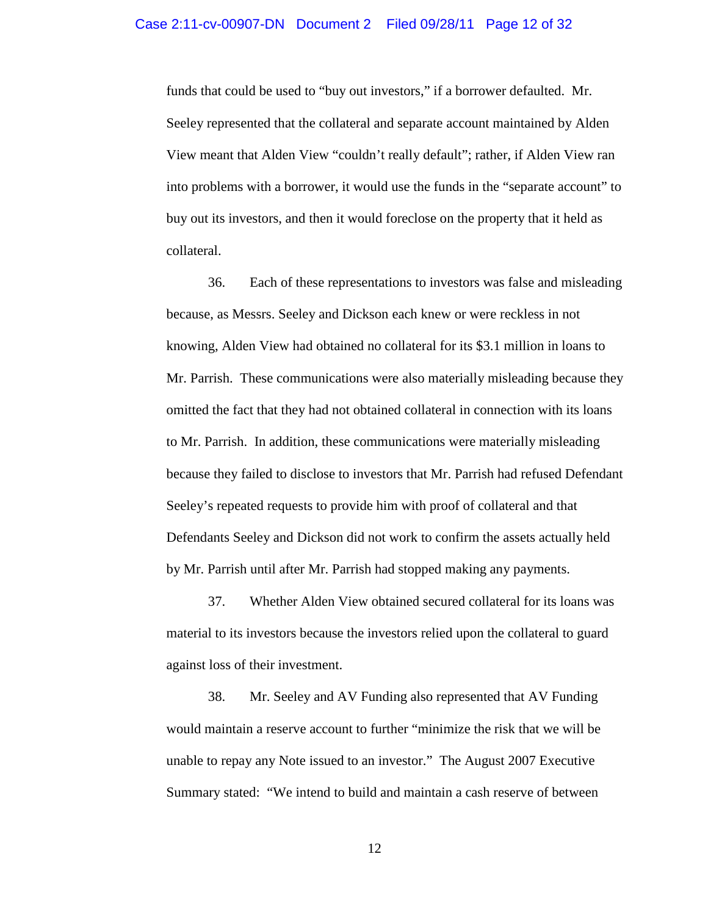funds that could be used to "buy out investors," if a borrower defaulted. Mr. Seeley represented that the collateral and separate account maintained by Alden View meant that Alden View "couldn't really default"; rather, if Alden View ran into problems with a borrower, it would use the funds in the "separate account" to buy out its investors, and then it would foreclose on the property that it held as collateral.

36. Each of these representations to investors was false and misleading because, as Messrs. Seeley and Dickson each knew or were reckless in not knowing, Alden View had obtained no collateral for its \$3.1 million in loans to Mr. Parrish. These communications were also materially misleading because they omitted the fact that they had not obtained collateral in connection with its loans to Mr. Parrish. In addition, these communications were materially misleading because they failed to disclose to investors that Mr. Parrish had refused Defendant Seeley's repeated requests to provide him with proof of collateral and that Defendants Seeley and Dickson did not work to confirm the assets actually held by Mr. Parrish until after Mr. Parrish had stopped making any payments.

37. Whether Alden View obtained secured collateral for its loans was material to its investors because the investors relied upon the collateral to guard against loss of their investment.

38. Mr. Seeley and AV Funding also represented that AV Funding would maintain a reserve account to further "minimize the risk that we will be unable to repay any Note issued to an investor." The August 2007 Executive Summary stated: "We intend to build and maintain a cash reserve of between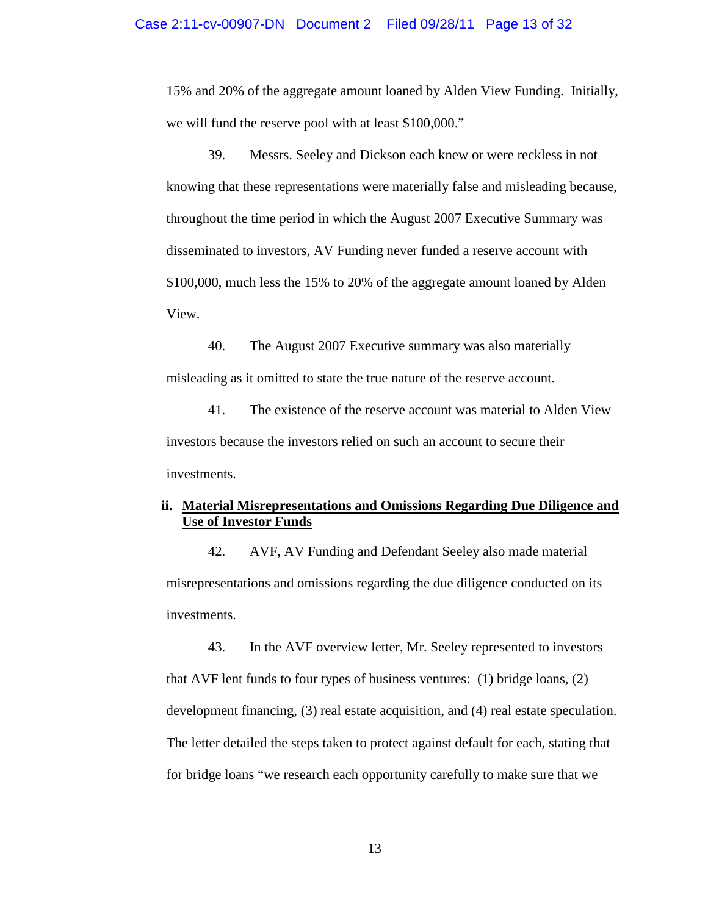15% and 20% of the aggregate amount loaned by Alden View Funding. Initially, we will fund the reserve pool with at least \$100,000."

39. Messrs. Seeley and Dickson each knew or were reckless in not knowing that these representations were materially false and misleading because, throughout the time period in which the August 2007 Executive Summary was disseminated to investors, AV Funding never funded a reserve account with \$100,000, much less the 15% to 20% of the aggregate amount loaned by Alden View.

40. The August 2007 Executive summary was also materially misleading as it omitted to state the true nature of the reserve account.

41. The existence of the reserve account was material to Alden View investors because the investors relied on such an account to secure their investments.

## **ii. Material Misrepresentations and Omissions Regarding Due Diligence and Use of Investor Funds**

42. AVF, AV Funding and Defendant Seeley also made material misrepresentations and omissions regarding the due diligence conducted on its investments.

43. In the AVF overview letter, Mr. Seeley represented to investors that AVF lent funds to four types of business ventures: (1) bridge loans, (2) development financing, (3) real estate acquisition, and (4) real estate speculation. The letter detailed the steps taken to protect against default for each, stating that for bridge loans "we research each opportunity carefully to make sure that we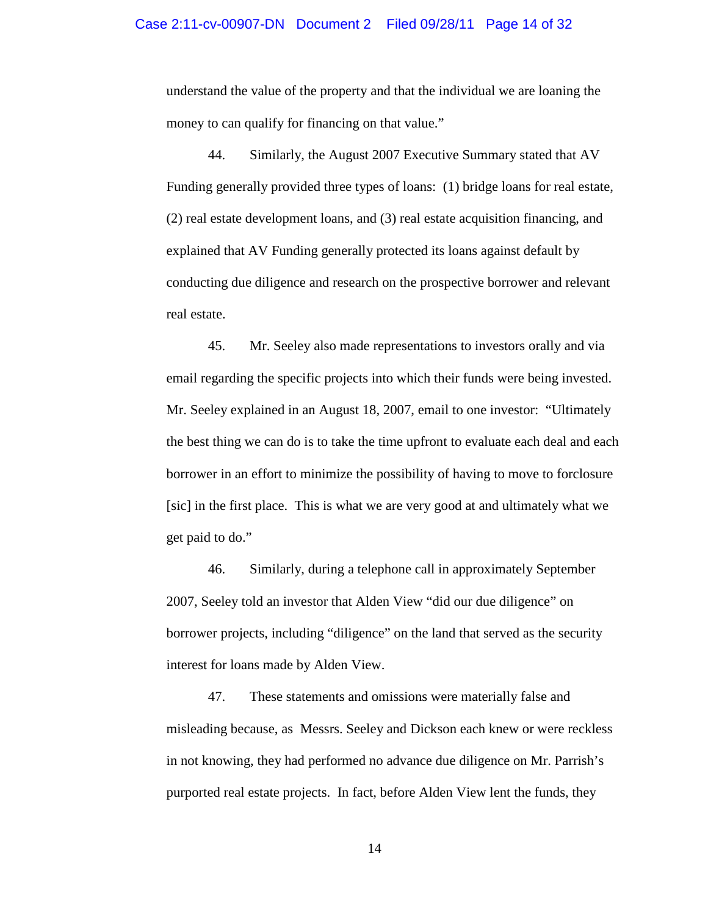understand the value of the property and that the individual we are loaning the money to can qualify for financing on that value."

44. Similarly, the August 2007 Executive Summary stated that AV Funding generally provided three types of loans: (1) bridge loans for real estate, (2) real estate development loans, and (3) real estate acquisition financing, and explained that AV Funding generally protected its loans against default by conducting due diligence and research on the prospective borrower and relevant real estate.

45. Mr. Seeley also made representations to investors orally and via email regarding the specific projects into which their funds were being invested. Mr. Seeley explained in an August 18, 2007, email to one investor: "Ultimately the best thing we can do is to take the time upfront to evaluate each deal and each borrower in an effort to minimize the possibility of having to move to forclosure [sic] in the first place. This is what we are very good at and ultimately what we get paid to do."

46. Similarly, during a telephone call in approximately September 2007, Seeley told an investor that Alden View "did our due diligence" on borrower projects, including "diligence" on the land that served as the security interest for loans made by Alden View.

47. These statements and omissions were materially false and misleading because, as Messrs. Seeley and Dickson each knew or were reckless in not knowing, they had performed no advance due diligence on Mr. Parrish's purported real estate projects. In fact, before Alden View lent the funds, they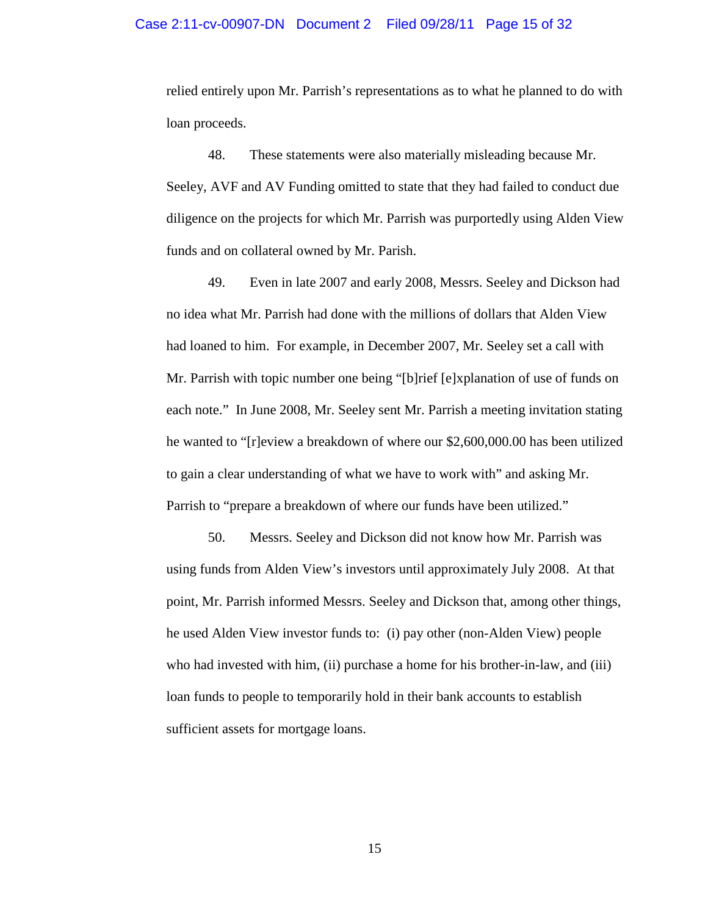#### Case 2:11-cv-00907-DN Document 2 Filed 09/28/11 Page 15 of 32

relied entirely upon Mr. Parrish's representations as to what he planned to do with loan proceeds.

48. These statements were also materially misleading because Mr. Seeley, AVF and AV Funding omitted to state that they had failed to conduct due diligence on the projects for which Mr. Parrish was purportedly using Alden View funds and on collateral owned by Mr. Parish.

49. Even in late 2007 and early 2008, Messrs. Seeley and Dickson had no idea what Mr. Parrish had done with the millions of dollars that Alden View had loaned to him. For example, in December 2007, Mr. Seeley set a call with Mr. Parrish with topic number one being "[b]rief [e]xplanation of use of funds on each note." In June 2008, Mr. Seeley sent Mr. Parrish a meeting invitation stating he wanted to "[r]eview a breakdown of where our \$2,600,000.00 has been utilized to gain a clear understanding of what we have to work with" and asking Mr. Parrish to "prepare a breakdown of where our funds have been utilized."

50. Messrs. Seeley and Dickson did not know how Mr. Parrish was using funds from Alden View's investors until approximately July 2008. At that point, Mr. Parrish informed Messrs. Seeley and Dickson that, among other things, he used Alden View investor funds to: (i) pay other (non-Alden View) people who had invested with him, (ii) purchase a home for his brother-in-law, and (iii) loan funds to people to temporarily hold in their bank accounts to establish sufficient assets for mortgage loans.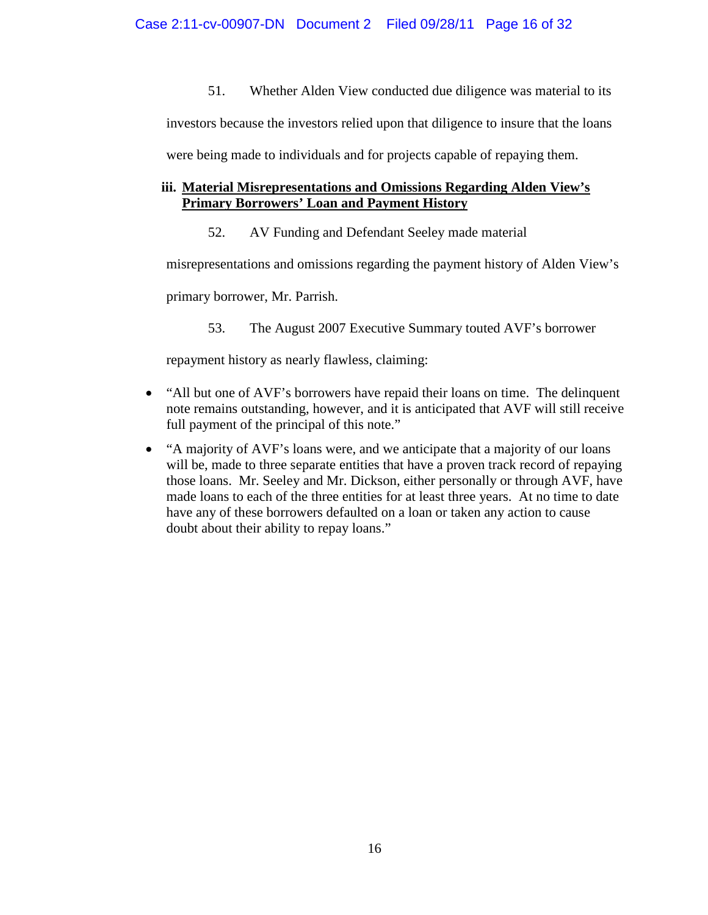51. Whether Alden View conducted due diligence was material to its

investors because the investors relied upon that diligence to insure that the loans

were being made to individuals and for projects capable of repaying them.

# **iii. Material Misrepresentations and Omissions Regarding Alden View's Primary Borrowers' Loan and Payment History**

52. AV Funding and Defendant Seeley made material

misrepresentations and omissions regarding the payment history of Alden View's

primary borrower, Mr. Parrish.

53. The August 2007 Executive Summary touted AVF's borrower

repayment history as nearly flawless, claiming:

- "All but one of AVF's borrowers have repaid their loans on time. The delinquent note remains outstanding, however, and it is anticipated that AVF will still receive full payment of the principal of this note."
- "A majority of AVF's loans were, and we anticipate that a majority of our loans will be, made to three separate entities that have a proven track record of repaying those loans. Mr. Seeley and Mr. Dickson, either personally or through AVF, have made loans to each of the three entities for at least three years. At no time to date have any of these borrowers defaulted on a loan or taken any action to cause doubt about their ability to repay loans."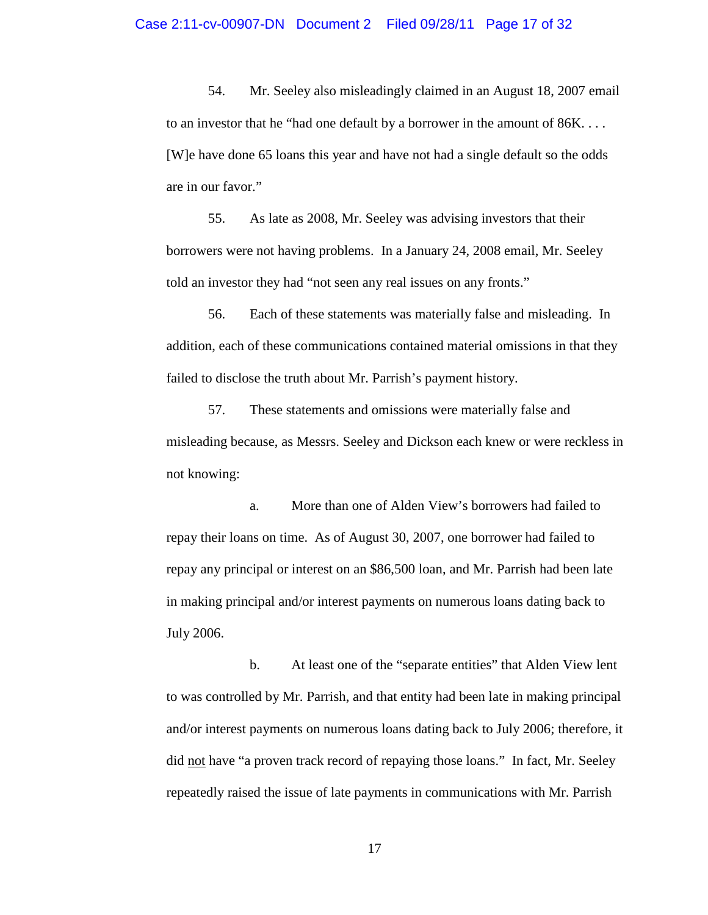54. Mr. Seeley also misleadingly claimed in an August 18, 2007 email to an investor that he "had one default by a borrower in the amount of 86K. . . . [W]e have done 65 loans this year and have not had a single default so the odds are in our favor."

55. As late as 2008, Mr. Seeley was advising investors that their borrowers were not having problems. In a January 24, 2008 email, Mr. Seeley told an investor they had "not seen any real issues on any fronts."

56. Each of these statements was materially false and misleading. In addition, each of these communications contained material omissions in that they failed to disclose the truth about Mr. Parrish's payment history.

57. These statements and omissions were materially false and misleading because, as Messrs. Seeley and Dickson each knew or were reckless in not knowing:

a. More than one of Alden View's borrowers had failed to repay their loans on time. As of August 30, 2007, one borrower had failed to repay any principal or interest on an \$86,500 loan, and Mr. Parrish had been late in making principal and/or interest payments on numerous loans dating back to July 2006.

b. At least one of the "separate entities" that Alden View lent to was controlled by Mr. Parrish, and that entity had been late in making principal and/or interest payments on numerous loans dating back to July 2006; therefore, it did not have "a proven track record of repaying those loans." In fact, Mr. Seeley repeatedly raised the issue of late payments in communications with Mr. Parrish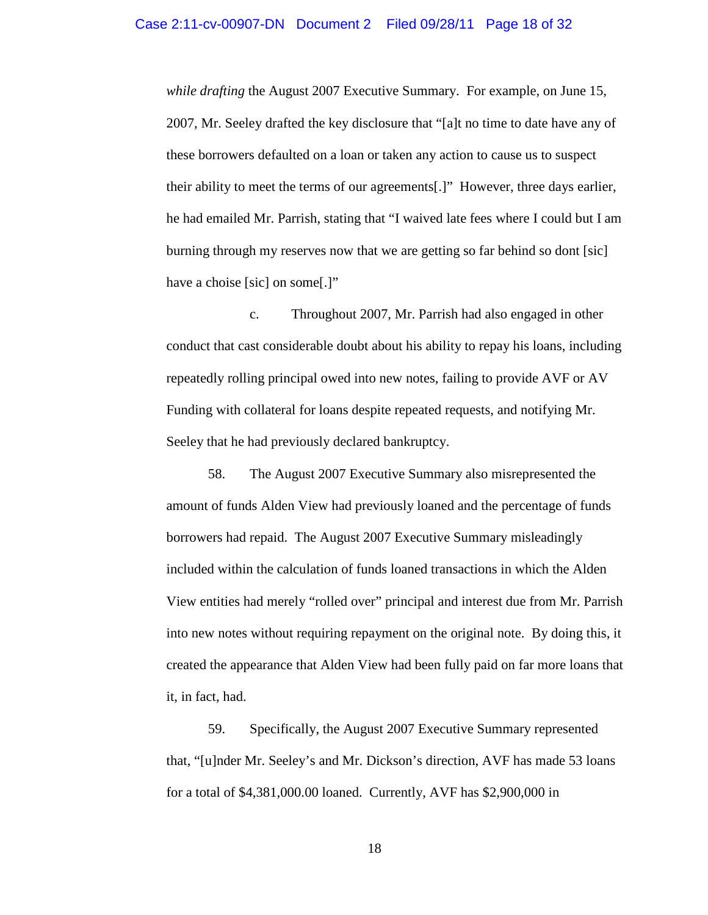*while drafting* the August 2007 Executive Summary. For example, on June 15, 2007, Mr. Seeley drafted the key disclosure that "[a]t no time to date have any of these borrowers defaulted on a loan or taken any action to cause us to suspect their ability to meet the terms of our agreements[.]" However, three days earlier, he had emailed Mr. Parrish, stating that "I waived late fees where I could but I am burning through my reserves now that we are getting so far behind so dont [sic] have a choise [sic] on some[.]"

c. Throughout 2007, Mr. Parrish had also engaged in other conduct that cast considerable doubt about his ability to repay his loans, including repeatedly rolling principal owed into new notes, failing to provide AVF or AV Funding with collateral for loans despite repeated requests, and notifying Mr. Seeley that he had previously declared bankruptcy.

58. The August 2007 Executive Summary also misrepresented the amount of funds Alden View had previously loaned and the percentage of funds borrowers had repaid. The August 2007 Executive Summary misleadingly included within the calculation of funds loaned transactions in which the Alden View entities had merely "rolled over" principal and interest due from Mr. Parrish into new notes without requiring repayment on the original note. By doing this, it created the appearance that Alden View had been fully paid on far more loans that it, in fact, had.

59. Specifically, the August 2007 Executive Summary represented that, "[u]nder Mr. Seeley's and Mr. Dickson's direction, AVF has made 53 loans for a total of \$4,381,000.00 loaned. Currently, AVF has \$2,900,000 in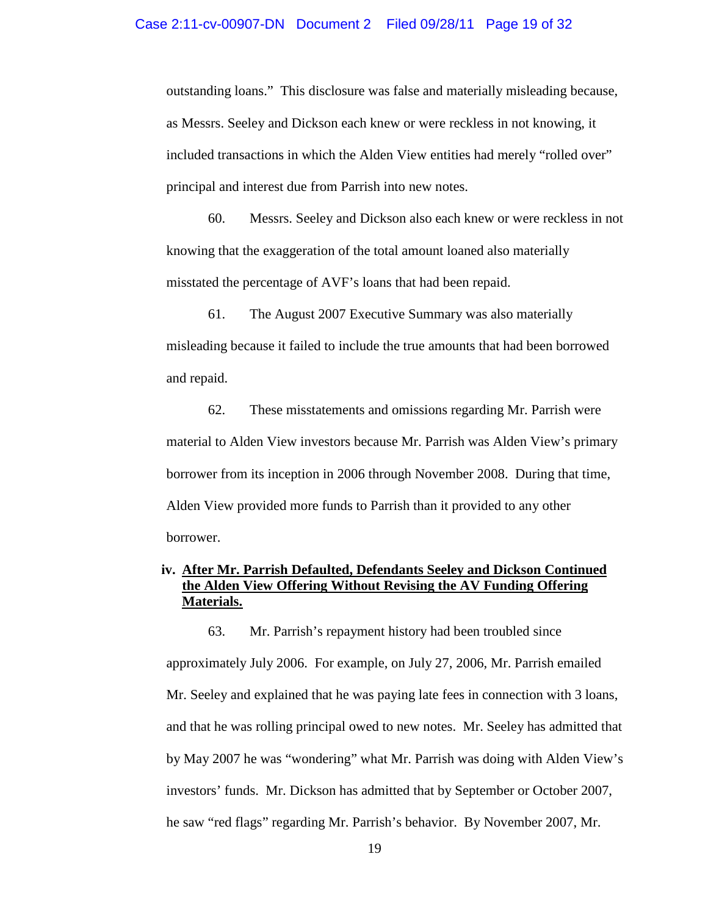outstanding loans." This disclosure was false and materially misleading because, as Messrs. Seeley and Dickson each knew or were reckless in not knowing, it included transactions in which the Alden View entities had merely "rolled over" principal and interest due from Parrish into new notes.

60. Messrs. Seeley and Dickson also each knew or were reckless in not knowing that the exaggeration of the total amount loaned also materially misstated the percentage of AVF's loans that had been repaid.

61. The August 2007 Executive Summary was also materially misleading because it failed to include the true amounts that had been borrowed and repaid.

62. These misstatements and omissions regarding Mr. Parrish were material to Alden View investors because Mr. Parrish was Alden View's primary borrower from its inception in 2006 through November 2008. During that time, Alden View provided more funds to Parrish than it provided to any other borrower.

## **iv. After Mr. Parrish Defaulted, Defendants Seeley and Dickson Continued the Alden View Offering Without Revising the AV Funding Offering Materials.**

63. Mr. Parrish's repayment history had been troubled since approximately July 2006. For example, on July 27, 2006, Mr. Parrish emailed Mr. Seeley and explained that he was paying late fees in connection with 3 loans, and that he was rolling principal owed to new notes. Mr. Seeley has admitted that by May 2007 he was "wondering" what Mr. Parrish was doing with Alden View's investors' funds. Mr. Dickson has admitted that by September or October 2007, he saw "red flags" regarding Mr. Parrish's behavior. By November 2007, Mr.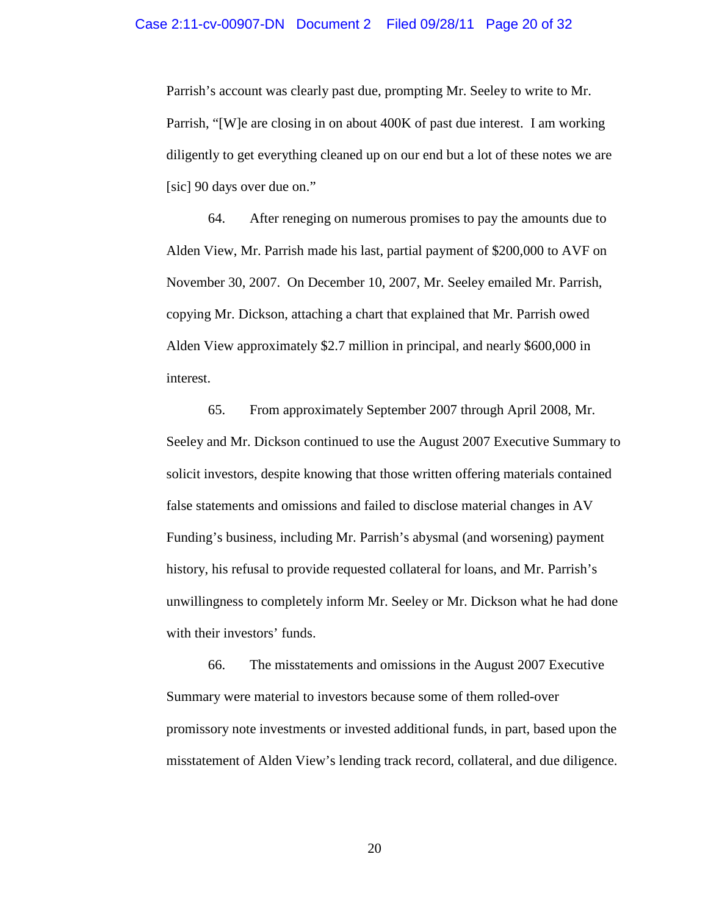Parrish's account was clearly past due, prompting Mr. Seeley to write to Mr. Parrish, "[W]e are closing in on about 400K of past due interest. I am working diligently to get everything cleaned up on our end but a lot of these notes we are [sic] 90 days over due on."

64. After reneging on numerous promises to pay the amounts due to Alden View, Mr. Parrish made his last, partial payment of \$200,000 to AVF on November 30, 2007. On December 10, 2007, Mr. Seeley emailed Mr. Parrish, copying Mr. Dickson, attaching a chart that explained that Mr. Parrish owed Alden View approximately \$2.7 million in principal, and nearly \$600,000 in interest.

65. From approximately September 2007 through April 2008, Mr. Seeley and Mr. Dickson continued to use the August 2007 Executive Summary to solicit investors, despite knowing that those written offering materials contained false statements and omissions and failed to disclose material changes in AV Funding's business, including Mr. Parrish's abysmal (and worsening) payment history, his refusal to provide requested collateral for loans, and Mr. Parrish's unwillingness to completely inform Mr. Seeley or Mr. Dickson what he had done with their investors' funds.

66. The misstatements and omissions in the August 2007 Executive Summary were material to investors because some of them rolled-over promissory note investments or invested additional funds, in part, based upon the misstatement of Alden View's lending track record, collateral, and due diligence.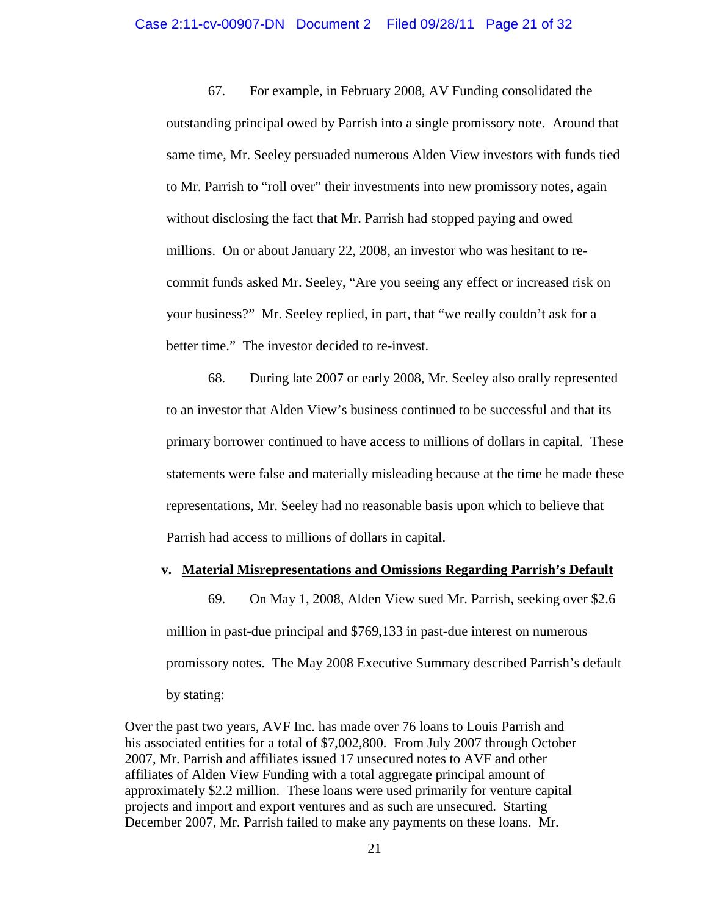67. For example, in February 2008, AV Funding consolidated the outstanding principal owed by Parrish into a single promissory note. Around that same time, Mr. Seeley persuaded numerous Alden View investors with funds tied to Mr. Parrish to "roll over" their investments into new promissory notes, again without disclosing the fact that Mr. Parrish had stopped paying and owed millions. On or about January 22, 2008, an investor who was hesitant to recommit funds asked Mr. Seeley, "Are you seeing any effect or increased risk on your business?" Mr. Seeley replied, in part, that "we really couldn't ask for a better time." The investor decided to re-invest.

68. During late 2007 or early 2008, Mr. Seeley also orally represented to an investor that Alden View's business continued to be successful and that its primary borrower continued to have access to millions of dollars in capital. These statements were false and materially misleading because at the time he made these representations, Mr. Seeley had no reasonable basis upon which to believe that Parrish had access to millions of dollars in capital.

### **v. Material Misrepresentations and Omissions Regarding Parrish's Default**

69. On May 1, 2008, Alden View sued Mr. Parrish, seeking over \$2.6 million in past-due principal and \$769,133 in past-due interest on numerous promissory notes. The May 2008 Executive Summary described Parrish's default by stating:

Over the past two years, AVF Inc. has made over 76 loans to Louis Parrish and his associated entities for a total of \$7,002,800. From July 2007 through October 2007, Mr. Parrish and affiliates issued 17 unsecured notes to AVF and other affiliates of Alden View Funding with a total aggregate principal amount of approximately \$2.2 million. These loans were used primarily for venture capital projects and import and export ventures and as such are unsecured. Starting December 2007, Mr. Parrish failed to make any payments on these loans. Mr.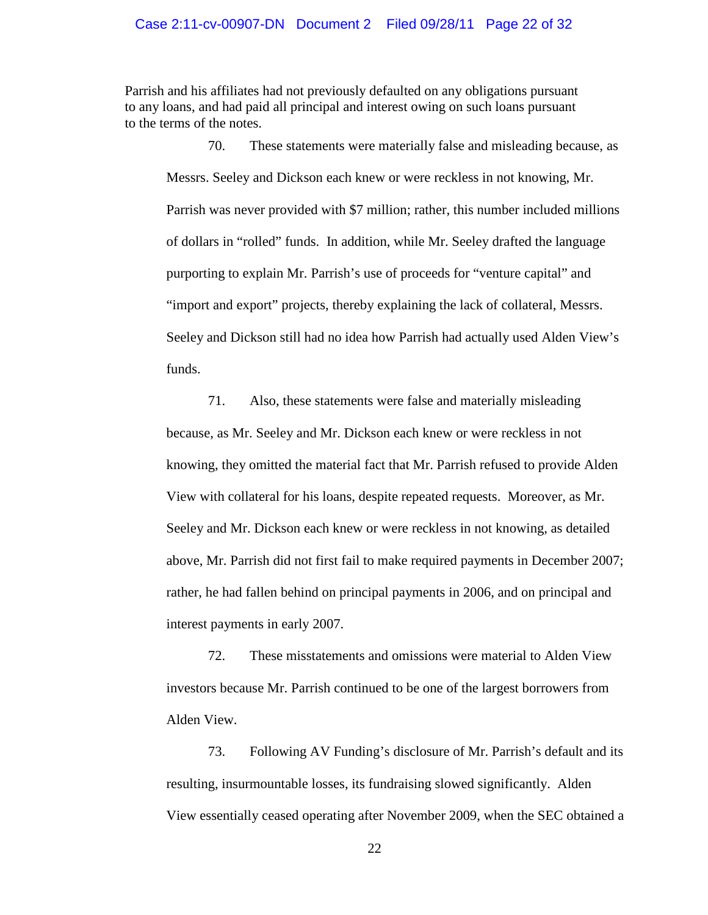Parrish and his affiliates had not previously defaulted on any obligations pursuant to any loans, and had paid all principal and interest owing on such loans pursuant to the terms of the notes.

70. These statements were materially false and misleading because, as Messrs. Seeley and Dickson each knew or were reckless in not knowing, Mr. Parrish was never provided with \$7 million; rather, this number included millions of dollars in "rolled" funds. In addition, while Mr. Seeley drafted the language purporting to explain Mr. Parrish's use of proceeds for "venture capital" and "import and export" projects, thereby explaining the lack of collateral, Messrs. Seeley and Dickson still had no idea how Parrish had actually used Alden View's funds.

71. Also, these statements were false and materially misleading because, as Mr. Seeley and Mr. Dickson each knew or were reckless in not knowing, they omitted the material fact that Mr. Parrish refused to provide Alden View with collateral for his loans, despite repeated requests. Moreover, as Mr. Seeley and Mr. Dickson each knew or were reckless in not knowing, as detailed above, Mr. Parrish did not first fail to make required payments in December 2007; rather, he had fallen behind on principal payments in 2006, and on principal and interest payments in early 2007.

72. These misstatements and omissions were material to Alden View investors because Mr. Parrish continued to be one of the largest borrowers from Alden View.

73. Following AV Funding's disclosure of Mr. Parrish's default and its resulting, insurmountable losses, its fundraising slowed significantly. Alden View essentially ceased operating after November 2009, when the SEC obtained a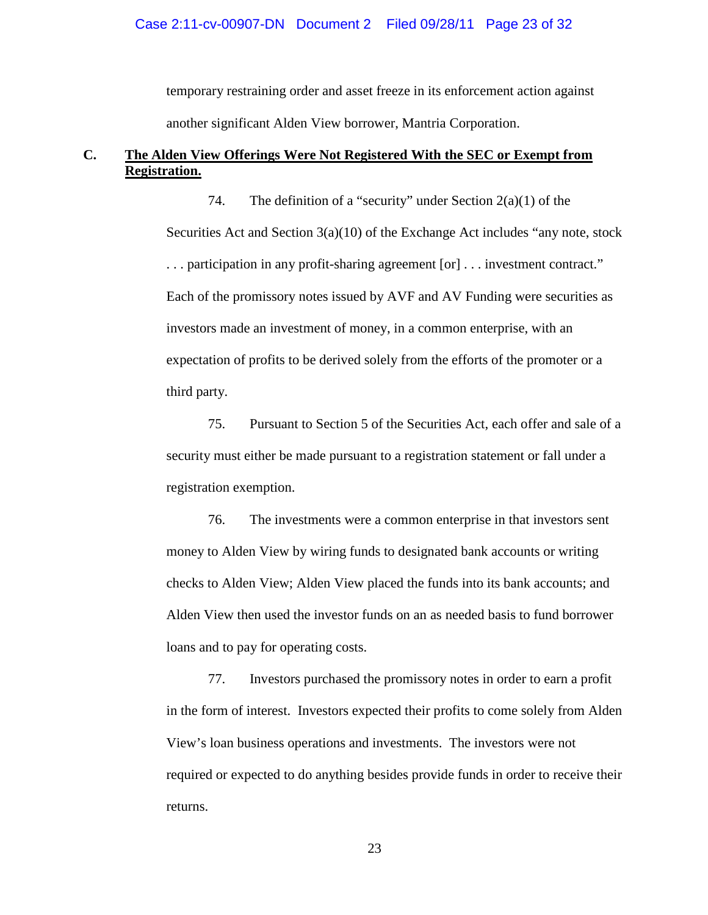temporary restraining order and asset freeze in its enforcement action against another significant Alden View borrower, Mantria Corporation.

#### **C. The Alden View Offerings Were Not Registered With the SEC or Exempt from Registration.**

74. The definition of a "security" under Section  $2(a)(1)$  of the Securities Act and Section 3(a)(10) of the Exchange Act includes "any note, stock . . . participation in any profit-sharing agreement [or] . . . investment contract." Each of the promissory notes issued by AVF and AV Funding were securities as investors made an investment of money, in a common enterprise, with an expectation of profits to be derived solely from the efforts of the promoter or a third party.

75. Pursuant to Section 5 of the Securities Act, each offer and sale of a security must either be made pursuant to a registration statement or fall under a registration exemption.

76. The investments were a common enterprise in that investors sent money to Alden View by wiring funds to designated bank accounts or writing checks to Alden View; Alden View placed the funds into its bank accounts; and Alden View then used the investor funds on an as needed basis to fund borrower loans and to pay for operating costs.

77. Investors purchased the promissory notes in order to earn a profit in the form of interest. Investors expected their profits to come solely from Alden View's loan business operations and investments. The investors were not required or expected to do anything besides provide funds in order to receive their returns.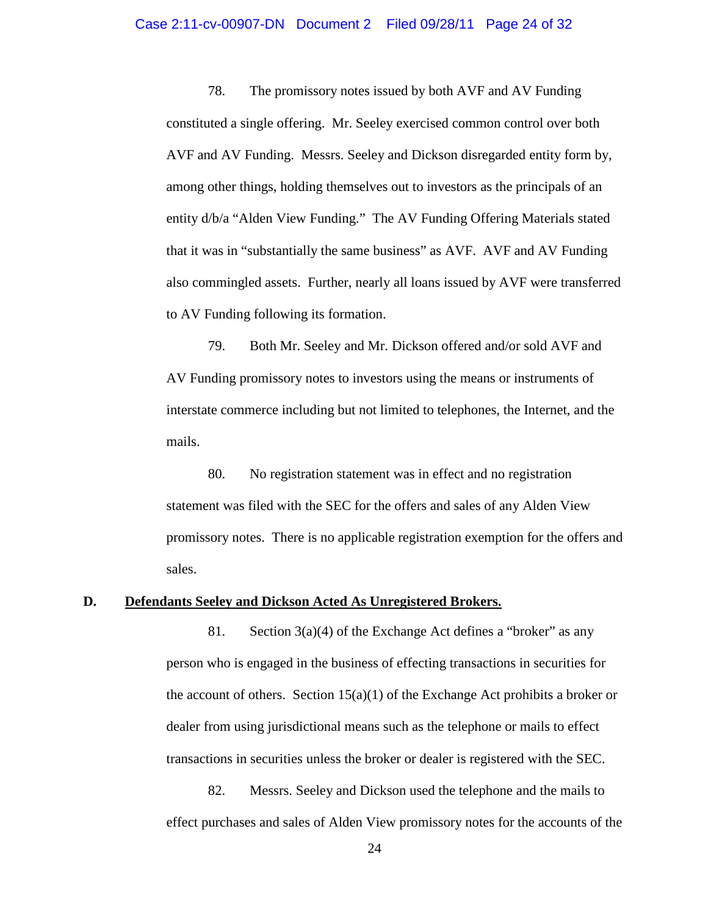78. The promissory notes issued by both AVF and AV Funding constituted a single offering. Mr. Seeley exercised common control over both AVF and AV Funding. Messrs. Seeley and Dickson disregarded entity form by, among other things, holding themselves out to investors as the principals of an entity d/b/a "Alden View Funding." The AV Funding Offering Materials stated that it was in "substantially the same business" as AVF. AVF and AV Funding also commingled assets. Further, nearly all loans issued by AVF were transferred to AV Funding following its formation.

79. Both Mr. Seeley and Mr. Dickson offered and/or sold AVF and AV Funding promissory notes to investors using the means or instruments of interstate commerce including but not limited to telephones, the Internet, and the mails.

80. No registration statement was in effect and no registration statement was filed with the SEC for the offers and sales of any Alden View promissory notes. There is no applicable registration exemption for the offers and sales.

#### **D. Defendants Seeley and Dickson Acted As Unregistered Brokers.**

81. Section 3(a)(4) of the Exchange Act defines a "broker" as any person who is engaged in the business of effecting transactions in securities for the account of others. Section  $15(a)(1)$  of the Exchange Act prohibits a broker or dealer from using jurisdictional means such as the telephone or mails to effect transactions in securities unless the broker or dealer is registered with the SEC.

82. Messrs. Seeley and Dickson used the telephone and the mails to effect purchases and sales of Alden View promissory notes for the accounts of the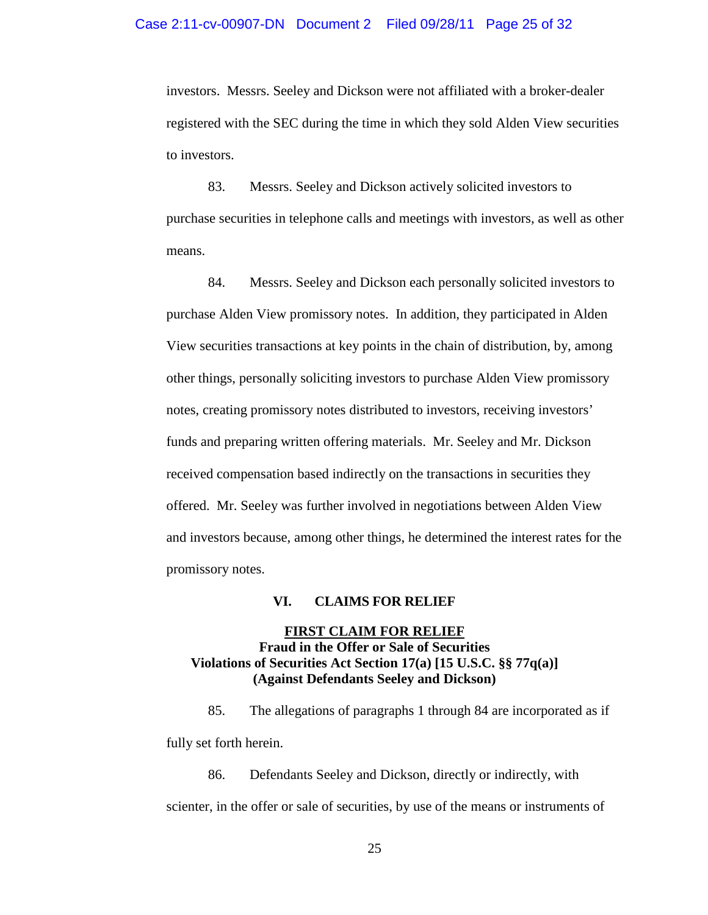investors. Messrs. Seeley and Dickson were not affiliated with a broker-dealer registered with the SEC during the time in which they sold Alden View securities to investors.

83. Messrs. Seeley and Dickson actively solicited investors to purchase securities in telephone calls and meetings with investors, as well as other means.

84. Messrs. Seeley and Dickson each personally solicited investors to purchase Alden View promissory notes. In addition, they participated in Alden View securities transactions at key points in the chain of distribution, by, among other things, personally soliciting investors to purchase Alden View promissory notes, creating promissory notes distributed to investors, receiving investors' funds and preparing written offering materials. Mr. Seeley and Mr. Dickson received compensation based indirectly on the transactions in securities they offered. Mr. Seeley was further involved in negotiations between Alden View and investors because, among other things, he determined the interest rates for the promissory notes.

#### **VI. CLAIMS FOR RELIEF**

## **Fraud in the Offer or Sale of Securities FIRST CLAIM FOR RELIEF Violations of Securities Act Section 17(a) [15 U.S.C. §§ 77q(a)] (Against Defendants Seeley and Dickson)**

85. The allegations of paragraphs 1 through 84 are incorporated as if fully set forth herein.

86. Defendants Seeley and Dickson, directly or indirectly, with scienter, in the offer or sale of securities, by use of the means or instruments of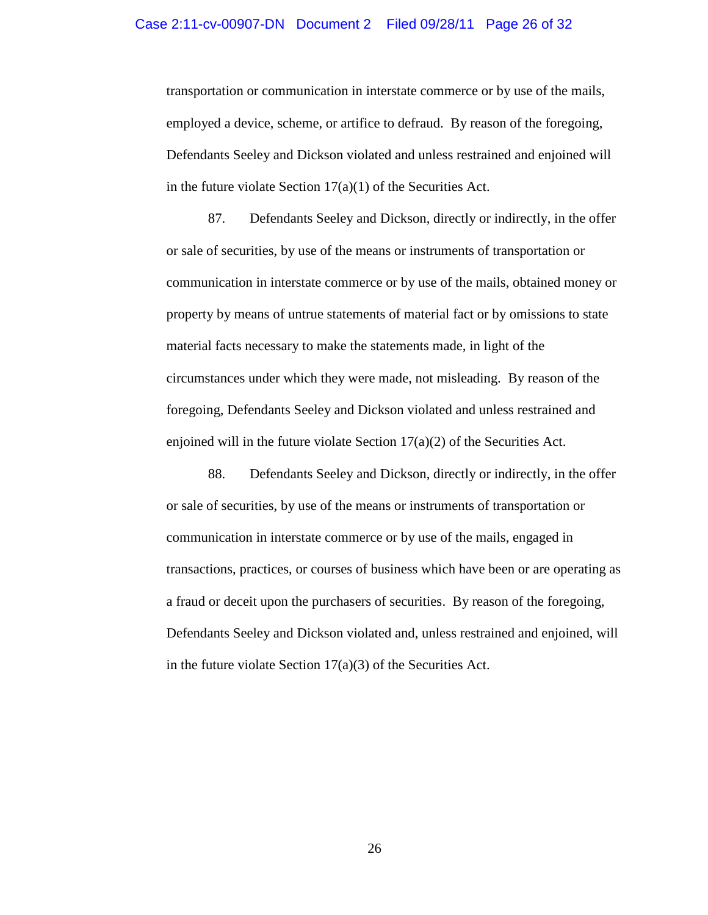transportation or communication in interstate commerce or by use of the mails, employed a device, scheme, or artifice to defraud. By reason of the foregoing, Defendants Seeley and Dickson violated and unless restrained and enjoined will in the future violate Section  $17(a)(1)$  of the Securities Act.

87. Defendants Seeley and Dickson, directly or indirectly, in the offer or sale of securities, by use of the means or instruments of transportation or communication in interstate commerce or by use of the mails, obtained money or property by means of untrue statements of material fact or by omissions to state material facts necessary to make the statements made, in light of the circumstances under which they were made, not misleading. By reason of the foregoing, Defendants Seeley and Dickson violated and unless restrained and enjoined will in the future violate Section  $17(a)(2)$  of the Securities Act.

88. Defendants Seeley and Dickson, directly or indirectly, in the offer or sale of securities, by use of the means or instruments of transportation or communication in interstate commerce or by use of the mails, engaged in transactions, practices, or courses of business which have been or are operating as a fraud or deceit upon the purchasers of securities. By reason of the foregoing, Defendants Seeley and Dickson violated and, unless restrained and enjoined, will in the future violate Section  $17(a)(3)$  of the Securities Act.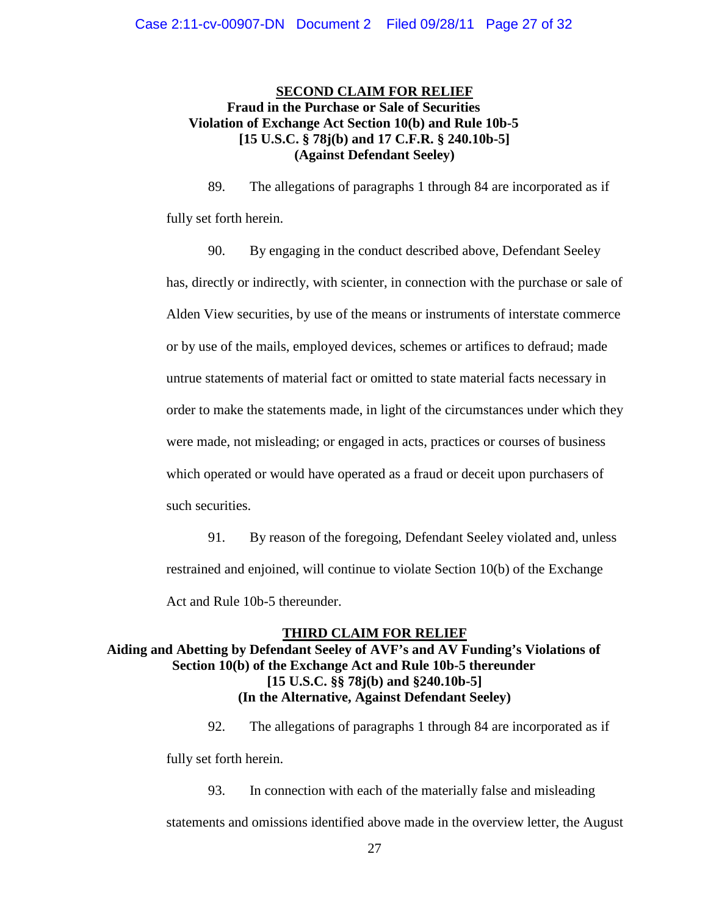## **SECOND CLAIM FOR RELIEF Fraud in the Purchase or Sale of Securities Violation of Exchange Act Section 10(b) and Rule 10b-5 [15 U.S.C. § 78j(b) and 17 C.F.R. § 240.10b-5] (Against Defendant Seeley)**

89. The allegations of paragraphs 1 through 84 are incorporated as if fully set forth herein.

90. By engaging in the conduct described above, Defendant Seeley has, directly or indirectly, with scienter, in connection with the purchase or sale of Alden View securities, by use of the means or instruments of interstate commerce or by use of the mails, employed devices, schemes or artifices to defraud; made untrue statements of material fact or omitted to state material facts necessary in order to make the statements made, in light of the circumstances under which they were made, not misleading; or engaged in acts, practices or courses of business which operated or would have operated as a fraud or deceit upon purchasers of such securities.

91. By reason of the foregoing, Defendant Seeley violated and, unless restrained and enjoined, will continue to violate Section 10(b) of the Exchange Act and Rule 10b-5 thereunder.

# **THIRD CLAIM FOR RELIEF Aiding and Abetting by Defendant Seeley of AVF's and AV Funding's Violations of Section 10(b) of the Exchange Act and Rule 10b-5 thereunder [15 U.S.C. §§ 78j(b) and §240.10b-5] (In the Alternative, Against Defendant Seeley)**

92. The allegations of paragraphs 1 through 84 are incorporated as if fully set forth herein.

93. In connection with each of the materially false and misleading statements and omissions identified above made in the overview letter, the August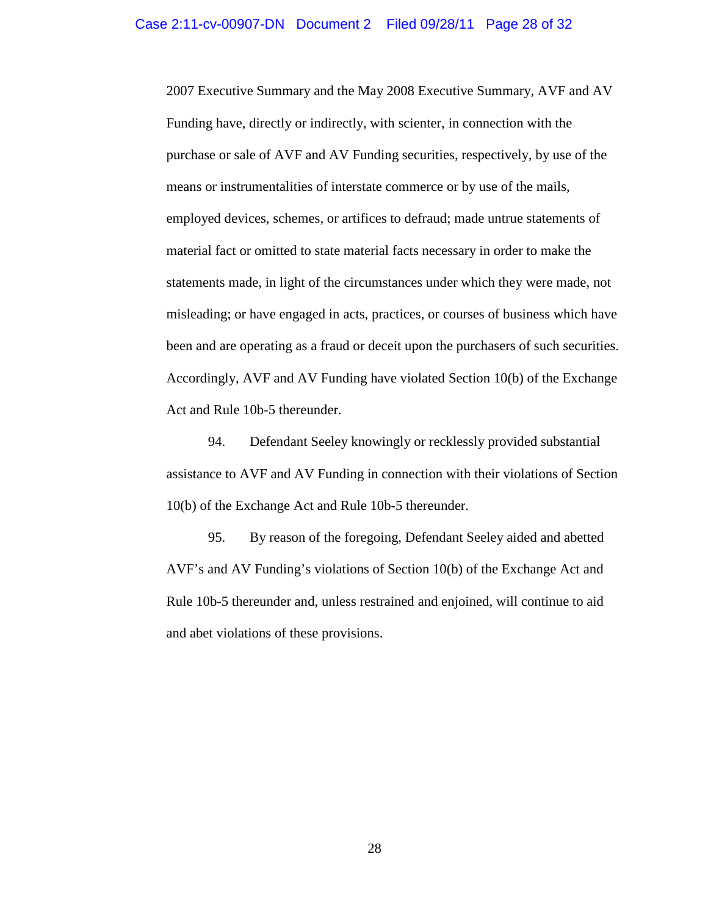2007 Executive Summary and the May 2008 Executive Summary, AVF and AV Funding have, directly or indirectly, with scienter, in connection with the purchase or sale of AVF and AV Funding securities, respectively, by use of the means or instrumentalities of interstate commerce or by use of the mails, employed devices, schemes, or artifices to defraud; made untrue statements of material fact or omitted to state material facts necessary in order to make the statements made, in light of the circumstances under which they were made, not misleading; or have engaged in acts, practices, or courses of business which have been and are operating as a fraud or deceit upon the purchasers of such securities. Accordingly, AVF and AV Funding have violated Section 10(b) of the Exchange Act and Rule 10b-5 thereunder.

94. Defendant Seeley knowingly or recklessly provided substantial assistance to AVF and AV Funding in connection with their violations of Section 10(b) of the Exchange Act and Rule 10b-5 thereunder.

95. By reason of the foregoing, Defendant Seeley aided and abetted AVF's and AV Funding's violations of Section 10(b) of the Exchange Act and Rule 10b-5 thereunder and, unless restrained and enjoined, will continue to aid and abet violations of these provisions.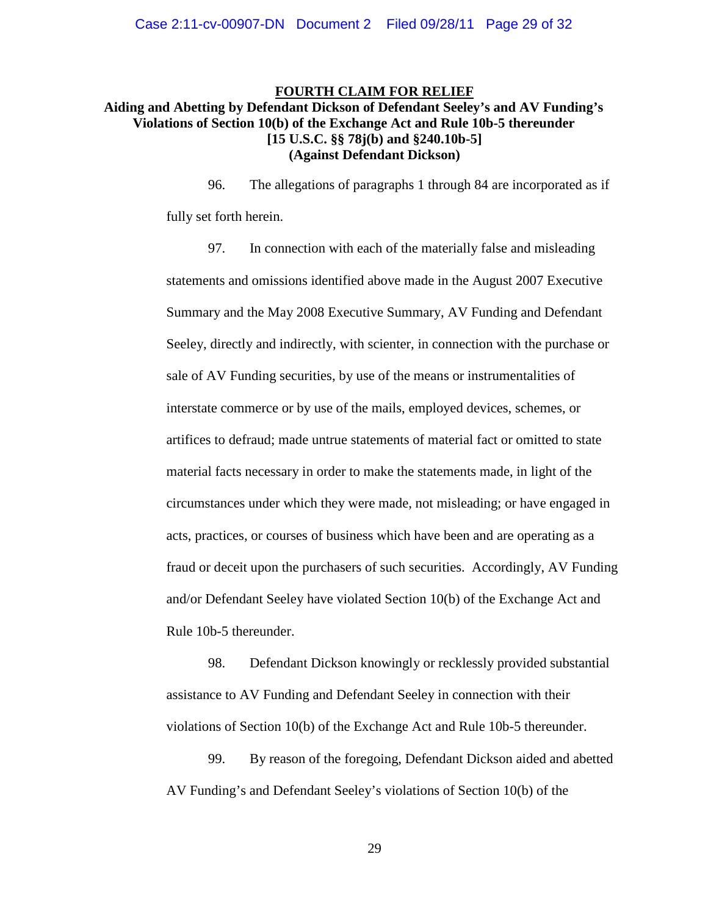# **FOURTH CLAIM FOR RELIEF**

## **Aiding and Abetting by Defendant Dickson of Defendant Seeley's and AV Funding's Violations of Section 10(b) of the Exchange Act and Rule 10b-5 thereunder [15 U.S.C. §§ 78j(b) and §240.10b-5] (Against Defendant Dickson)**

96. The allegations of paragraphs 1 through 84 are incorporated as if fully set forth herein.

97. In connection with each of the materially false and misleading statements and omissions identified above made in the August 2007 Executive Summary and the May 2008 Executive Summary, AV Funding and Defendant Seeley, directly and indirectly, with scienter, in connection with the purchase or sale of AV Funding securities, by use of the means or instrumentalities of interstate commerce or by use of the mails, employed devices, schemes, or artifices to defraud; made untrue statements of material fact or omitted to state material facts necessary in order to make the statements made, in light of the circumstances under which they were made, not misleading; or have engaged in acts, practices, or courses of business which have been and are operating as a fraud or deceit upon the purchasers of such securities. Accordingly, AV Funding and/or Defendant Seeley have violated Section 10(b) of the Exchange Act and Rule 10b-5 thereunder.

98. Defendant Dickson knowingly or recklessly provided substantial assistance to AV Funding and Defendant Seeley in connection with their violations of Section 10(b) of the Exchange Act and Rule 10b-5 thereunder.

99. By reason of the foregoing, Defendant Dickson aided and abetted AV Funding's and Defendant Seeley's violations of Section 10(b) of the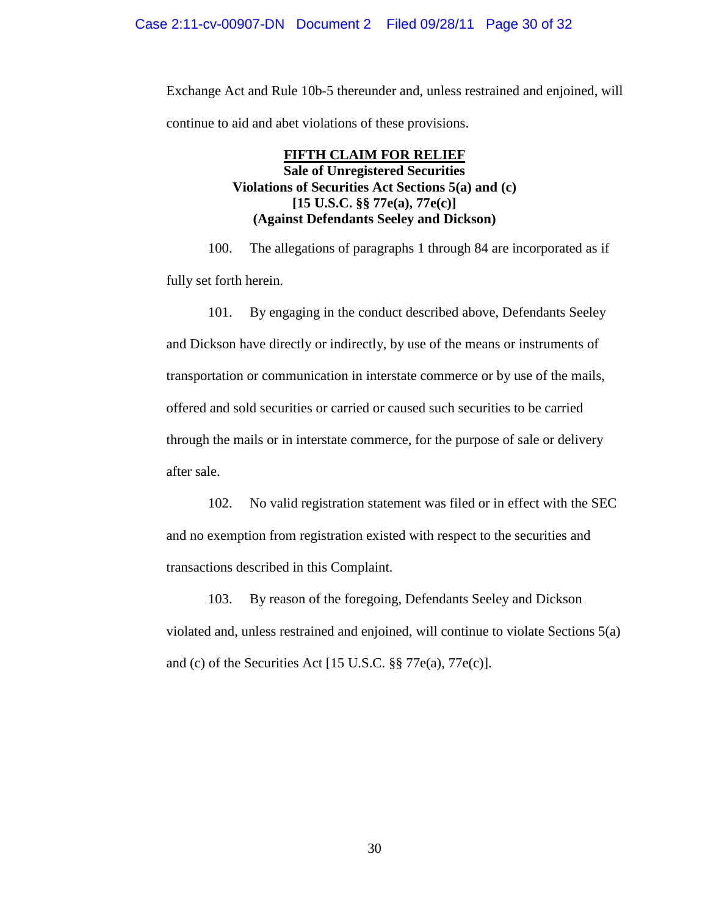Exchange Act and Rule 10b-5 thereunder and, unless restrained and enjoined, will continue to aid and abet violations of these provisions.

## **FIFTH CLAIM FOR RELIEF Sale of Unregistered Securities Violations of Securities Act Sections 5(a) and (c) [15 U.S.C. §§ 77e(a), 77e(c)] (Against Defendants Seeley and Dickson)**

100. The allegations of paragraphs 1 through 84 are incorporated as if fully set forth herein.

101. By engaging in the conduct described above, Defendants Seeley and Dickson have directly or indirectly, by use of the means or instruments of transportation or communication in interstate commerce or by use of the mails, offered and sold securities or carried or caused such securities to be carried through the mails or in interstate commerce, for the purpose of sale or delivery after sale.

102. No valid registration statement was filed or in effect with the SEC and no exemption from registration existed with respect to the securities and transactions described in this Complaint.

103. By reason of the foregoing, Defendants Seeley and Dickson violated and, unless restrained and enjoined, will continue to violate Sections 5(a) and (c) of the Securities Act [15 U.S.C. §§ 77e(a), 77e(c)].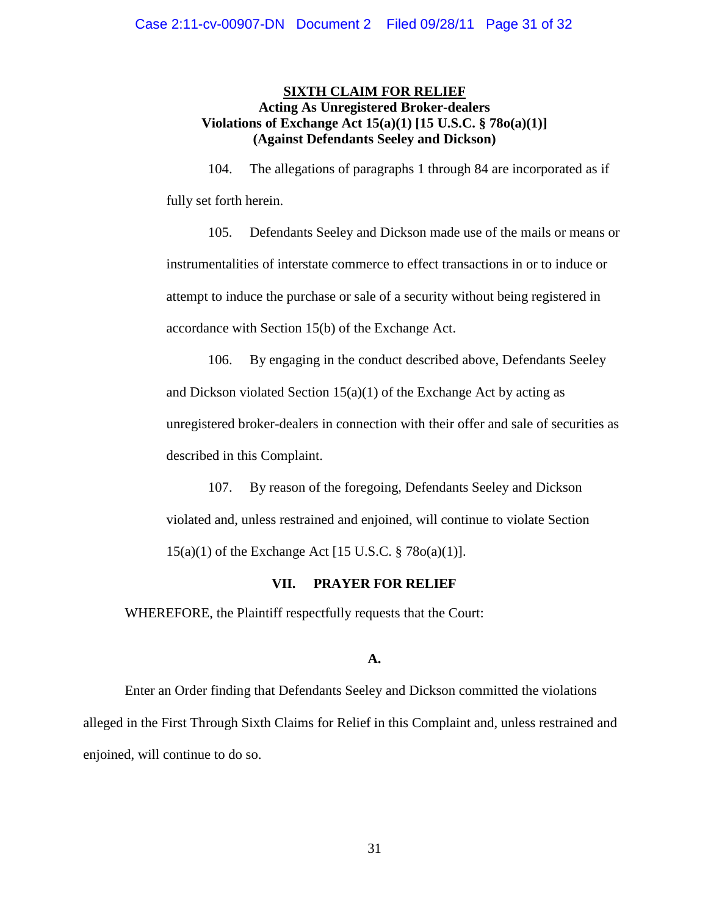## **SIXTH CLAIM FOR RELIEF Acting As Unregistered Broker-dealers Violations of Exchange Act 15(a)(1) [15 U.S.C. § 78o(a)(1)] (Against Defendants Seeley and Dickson)**

104. The allegations of paragraphs 1 through 84 are incorporated as if fully set forth herein.

105. Defendants Seeley and Dickson made use of the mails or means or instrumentalities of interstate commerce to effect transactions in or to induce or attempt to induce the purchase or sale of a security without being registered in accordance with Section 15(b) of the Exchange Act.

106. By engaging in the conduct described above, Defendants Seeley and Dickson violated Section  $15(a)(1)$  of the Exchange Act by acting as unregistered broker-dealers in connection with their offer and sale of securities as described in this Complaint.

107. By reason of the foregoing, Defendants Seeley and Dickson violated and, unless restrained and enjoined, will continue to violate Section 15(a)(1) of the Exchange Act [15 U.S.C. § 78o(a)(1)].

### **VII. PRAYER FOR RELIEF**

WHEREFORE, the Plaintiff respectfully requests that the Court:

## **A.**

Enter an Order finding that Defendants Seeley and Dickson committed the violations alleged in the First Through Sixth Claims for Relief in this Complaint and, unless restrained and enjoined, will continue to do so.